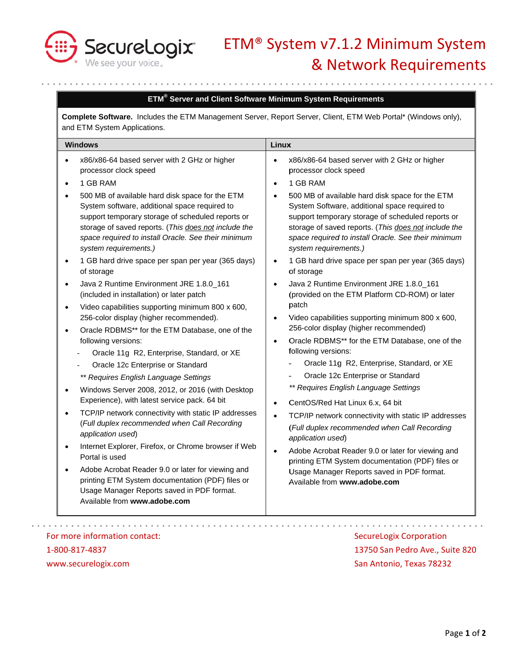

# ETM® System v7.1.2 Minimum System & Network Requirements

## ETM<sup>®</sup> Server and Client Software Minimum System Requirements

Complete Software. Includes the ETM Management Server, Report Server, Client, ETM Web Portal\* (Windows only), and ETM System Applications.

| <b>Windows</b>                                                                                                                                                                                                                                                                                                                                                                                                                                                                                                                                                                                                                                                                                                                                                                                                                                                                                                                                                                                                                                                                                                                                                                                                                                                                                                                                                                                                                                                                            | Linux                                                                                                                                                                                                                                                                                                                                                                                                                                                                                                                                                                                                                                                                                                                                                                                                                                                                                                                                                                                                                                                                                                                                                                                                                                               |
|-------------------------------------------------------------------------------------------------------------------------------------------------------------------------------------------------------------------------------------------------------------------------------------------------------------------------------------------------------------------------------------------------------------------------------------------------------------------------------------------------------------------------------------------------------------------------------------------------------------------------------------------------------------------------------------------------------------------------------------------------------------------------------------------------------------------------------------------------------------------------------------------------------------------------------------------------------------------------------------------------------------------------------------------------------------------------------------------------------------------------------------------------------------------------------------------------------------------------------------------------------------------------------------------------------------------------------------------------------------------------------------------------------------------------------------------------------------------------------------------|-----------------------------------------------------------------------------------------------------------------------------------------------------------------------------------------------------------------------------------------------------------------------------------------------------------------------------------------------------------------------------------------------------------------------------------------------------------------------------------------------------------------------------------------------------------------------------------------------------------------------------------------------------------------------------------------------------------------------------------------------------------------------------------------------------------------------------------------------------------------------------------------------------------------------------------------------------------------------------------------------------------------------------------------------------------------------------------------------------------------------------------------------------------------------------------------------------------------------------------------------------|
| x86/x86-64 based server with 2 GHz or higher<br>$\bullet$<br>processor clock speed<br>1 GB RAM<br>$\bullet$<br>500 MB of available hard disk space for the ETM<br>$\bullet$<br>System software, additional space required to<br>support temporary storage of scheduled reports or<br>storage of saved reports. (This does not include the<br>space required to install Oracle. See their minimum<br>system requirements.)<br>1 GB hard drive space per span per year (365 days)<br>$\bullet$<br>of storage<br>Java 2 Runtime Environment JRE 1.8.0_161<br>$\bullet$<br>(included in installation) or later patch<br>Video capabilities supporting minimum 800 x 600,<br>$\bullet$<br>256-color display (higher recommended).<br>Oracle RDBMS** for the ETM Database, one of the<br>$\bullet$<br>following versions:<br>Oracle 11g R2, Enterprise, Standard, or XE<br>Oracle 12c Enterprise or Standard<br>** Requires English Language Settings<br>Windows Server 2008, 2012, or 2016 (with Desktop<br>$\bullet$<br>Experience), with latest service pack. 64 bit<br>TCP/IP network connectivity with static IP addresses<br>$\bullet$<br>(Full duplex recommended when Call Recording<br>application used)<br>Internet Explorer, Firefox, or Chrome browser if Web<br>$\bullet$<br>Portal is used<br>Adobe Acrobat Reader 9.0 or later for viewing and<br>printing ETM System documentation (PDF) files or<br>Usage Manager Reports saved in PDF format.<br>Available from www.adobe.com | x86/x86-64 based server with 2 GHz or higher<br>processor clock speed<br>1 GB RAM<br>500 MB of available hard disk space for the ETM<br>System Software, additional space required to<br>support temporary storage of scheduled reports or<br>storage of saved reports. (This does not include the<br>space required to install Oracle. See their minimum<br>system requirements.)<br>1 GB hard drive space per span per year (365 days)<br>$\bullet$<br>of storage<br>Java 2 Runtime Environment JRE 1.8.0_161<br>(provided on the ETM Platform CD-ROM) or later<br>patch<br>Video capabilities supporting minimum 800 x 600,<br>256-color display (higher recommended)<br>Oracle RDBMS** for the ETM Database, one of the<br>following versions:<br>Oracle 11g R2, Enterprise, Standard, or XE<br>Oracle 12c Enterprise or Standard<br>** Requires English Language Settings<br>CentOS/Red Hat Linux 6.x, 64 bit<br>TCP/IP network connectivity with static IP addresses<br>(Full duplex recommended when Call Recording<br>application used)<br>Adobe Acrobat Reader 9.0 or later for viewing and<br>$\bullet$<br>printing ETM System documentation (PDF) files or<br>Usage Manager Reports saved in PDF format.<br>Available from www.adobe.com |

1-800-817-4837 www.securelogix.com

13750 San Pedro Ave., Suite 820 San Antonio, Texas 78232